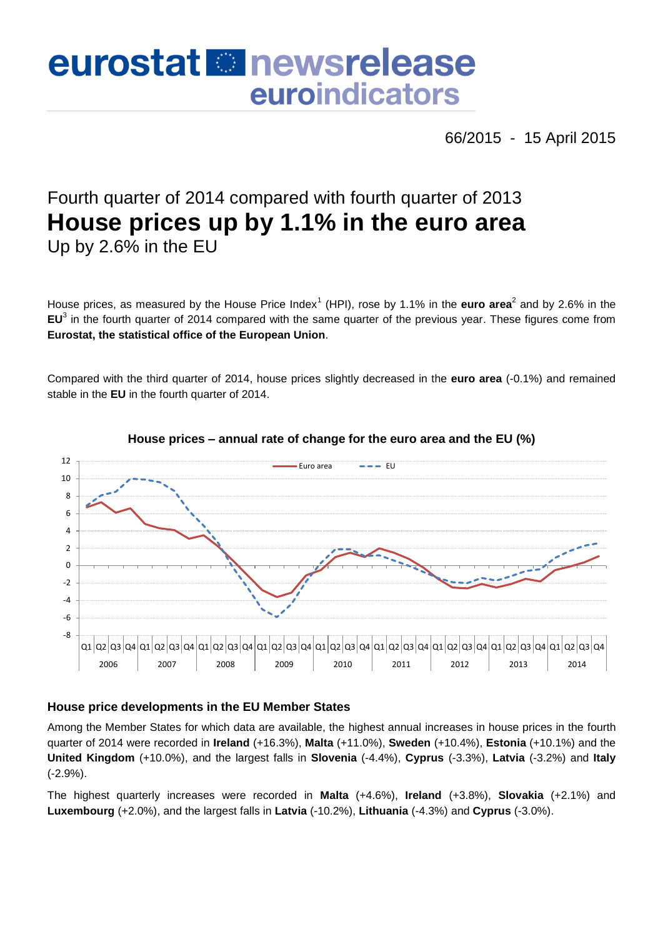# eurostat **B**newsrelease euroindicators

66/2015 - 15 April 2015

## Fourth quarter of 2014 compared with fourth quarter of 2013 **House prices up by 1.1% in the euro area** Up by 2.6% in the EU

House prices, as measured by the House Price Index<sup>1</sup> (HPI), rose by 1.1% in the **euro area**<sup>2</sup> and by 2.6% in the **EU**<sup>3</sup> in the fourth quarter of 2014 compared with the same quarter of the previous year. These figures come from **Eurostat, the statistical office of the European Union**.

Compared with the third quarter of 2014, house prices slightly decreased in the **euro area** (-0.1%) and remained stable in the **EU** in the fourth quarter of 2014.



#### **House prices – annual rate of change for the euro area and the EU (%)**

#### **House price developments in the EU Member States**

Among the Member States for which data are available, the highest annual increases in house prices in the fourth quarter of 2014 were recorded in **Ireland** (+16.3%), **Malta** (+11.0%), **Sweden** (+10.4%), **Estonia** (+10.1%) and the **United Kingdom** (+10.0%), and the largest falls in **Slovenia** (-4.4%), **Cyprus** (-3.3%), **Latvia** (-3.2%) and **Italy** (-2.9%).

The highest quarterly increases were recorded in **Malta** (+4.6%), **Ireland** (+3.8%), **Slovakia** (+2.1%) and **Luxembourg** (+2.0%), and the largest falls in **Latvia** (-10.2%), **Lithuania** (-4.3%) and **Cyprus** (-3.0%).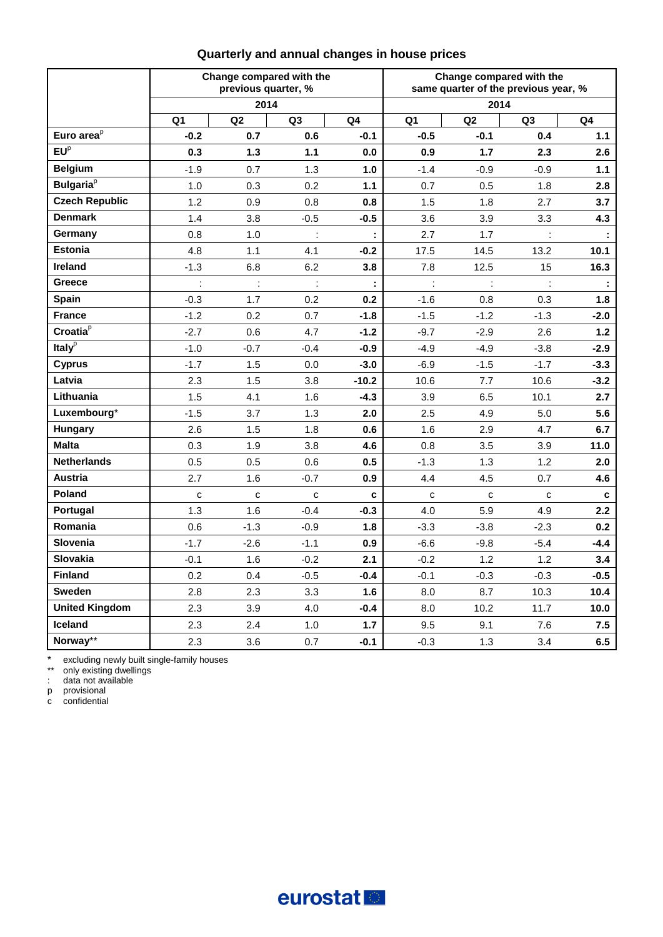|                              | Change compared with the<br>previous quarter, %<br>2014 |                      |                |         | Change compared with the<br>same quarter of the previous year, %<br>2014 |                |                |                             |
|------------------------------|---------------------------------------------------------|----------------------|----------------|---------|--------------------------------------------------------------------------|----------------|----------------|-----------------------------|
|                              |                                                         |                      |                |         |                                                                          |                |                |                             |
|                              | Q <sub>1</sub>                                          | Q2                   | Q <sub>3</sub> | Q4      | Q1                                                                       | Q2             | Q <sub>3</sub> | Q4                          |
| Euro area <sup>p</sup>       | $-0.2$                                                  | 0.7                  | 0.6            | $-0.1$  | $-0.5$                                                                   | $-0.1$         | 0.4            | 1.1                         |
| EU <sup>p</sup>              | 0.3                                                     | 1.3                  | 1.1            | 0.0     | 0.9                                                                      | 1.7            | 2.3            | 2.6                         |
| <b>Belgium</b>               | $-1.9$                                                  | 0.7                  | 1.3            | 1.0     | $-1.4$                                                                   | $-0.9$         | -0.9           | 1.1                         |
| <b>Bulgaria</b> <sup>p</sup> | 1.0                                                     | 0.3                  | 0.2            | 1.1     | 0.7                                                                      | 0.5            | 1.8            | 2.8                         |
| <b>Czech Republic</b>        | 1.2                                                     | 0.9                  | 0.8            | 0.8     | 1.5                                                                      | 1.8            | 2.7            | 3.7                         |
| <b>Denmark</b>               | 1.4                                                     | 3.8                  | $-0.5$         | $-0.5$  | 3.6                                                                      | 3.9            | 3.3            | 4.3                         |
| Germany                      | 0.8                                                     | 1.0                  | $\ddot{\cdot}$ |         | 2.7                                                                      | 1.7            | ÷              | $\mathbb{C}^{\times}$       |
| <b>Estonia</b>               | 4.8                                                     | 1.1                  | 4.1            | $-0.2$  | 17.5                                                                     | 14.5           | 13.2           | 10.1                        |
| <b>Ireland</b>               | $-1.3$                                                  | 6.8                  | 6.2            | 3.8     | 7.8                                                                      | 12.5           | 15             | 16.3                        |
| Greece                       | ł,                                                      | $\ddot{\phantom{a}}$ | $\ddot{\cdot}$ | ÷       | ÷                                                                        | $\ddot{\cdot}$ | ł,             | $\mathcal{L}_{\mathcal{A}}$ |
| <b>Spain</b>                 | $-0.3$                                                  | 1.7                  | 0.2            | 0.2     | $-1.6$                                                                   | 0.8            | 0.3            | 1.8                         |
| <b>France</b>                | $-1.2$                                                  | 0.2                  | 0.7            | $-1.8$  | $-1.5$                                                                   | $-1.2$         | $-1.3$         | $-2.0$                      |
| Croatia <sup>p</sup>         | $-2.7$                                                  | 0.6                  | 4.7            | $-1.2$  | $-9.7$                                                                   | $-2.9$         | 2.6            | $1.2$                       |
| Italy $p$                    | $-1.0$                                                  | $-0.7$               | -0.4           | -0.9    | $-4.9$                                                                   | $-4.9$         | $-3.8$         | -2.9                        |
| <b>Cyprus</b>                | $-1.7$                                                  | 1.5                  | $0.0\,$        | $-3.0$  | $-6.9$                                                                   | $-1.5$         | $-1.7$         | $-3.3$                      |
| Latvia                       | 2.3                                                     | 1.5                  | 3.8            | $-10.2$ | 10.6                                                                     | 7.7            | 10.6           | $-3.2$                      |
| Lithuania                    | 1.5                                                     | 4.1                  | 1.6            | -4.3    | 3.9                                                                      | 6.5            | 10.1           | 2.7                         |
| Luxembourg*                  | $-1.5$                                                  | 3.7                  | 1.3            | 2.0     | 2.5                                                                      | 4.9            | 5.0            | 5.6                         |
| Hungary                      | 2.6                                                     | 1.5                  | 1.8            | 0.6     | 1.6                                                                      | 2.9            | 4.7            | 6.7                         |
| <b>Malta</b>                 | 0.3                                                     | 1.9                  | 3.8            | 4.6     | 0.8                                                                      | 3.5            | 3.9            | 11.0                        |
| <b>Netherlands</b>           | 0.5                                                     | 0.5                  | 0.6            | 0.5     | $-1.3$                                                                   | 1.3            | 1.2            | 2.0                         |
| Austria                      | 2.7                                                     | 1.6                  | $-0.7$         | 0.9     | 4.4                                                                      | 4.5            | 0.7            | 4.6                         |
| Poland                       | $\mathbf{C}$                                            | $\mathbf{C}$         | c              | c       | $\mathbf{C}$                                                             | $\mathbf c$    | c              | c                           |
| Portugal                     | 1.3                                                     | 1.6                  | $-0.4$         | $-0.3$  | 4.0                                                                      | 5.9            | 4.9            | 2.2                         |
| Romania                      | 0.6                                                     | $-1.3$               | $-0.9$         | 1.8     | $-3.3$                                                                   | $-3.8$         | $-2.3$         | 0.2                         |
| <b>Slovenia</b>              | $-1.7$                                                  | $-2.6$               | $-1.1$         | 0.9     | -6.6                                                                     | $-9.8$         | $-5.4$         | $-4.4$                      |
| Slovakia                     | $-0.1$                                                  | 1.6                  | $-0.2$         | 2.1     | $-0.2$                                                                   | 1.2            | 1.2            | 3.4                         |
| <b>Finland</b>               | 0.2                                                     | 0.4                  | $-0.5$         | $-0.4$  | $-0.1$                                                                   | $-0.3$         | $-0.3$         | -0.5                        |
| <b>Sweden</b>                | 2.8                                                     | 2.3                  | 3.3            | 1.6     | 8.0                                                                      | 8.7            | 10.3           | 10.4                        |
| <b>United Kingdom</b>        | 2.3                                                     | 3.9                  | 4.0            | $-0.4$  | 8.0                                                                      | 10.2           | 11.7           | 10.0                        |
| Iceland                      | 2.3                                                     | 2.4                  | 1.0            | 1.7     | 9.5                                                                      | 9.1            | 7.6            | 7.5                         |
| Norway**                     | 2.3                                                     | 3.6                  | 0.7            | $-0.1$  | $-0.3$                                                                   | 1.3            | 3.4            | 6.5                         |

### **Quarterly and annual changes in house prices**

\* excluding newly built single-family houses

\*\* only existing dwellings

: data not available

p provisional

c confidential